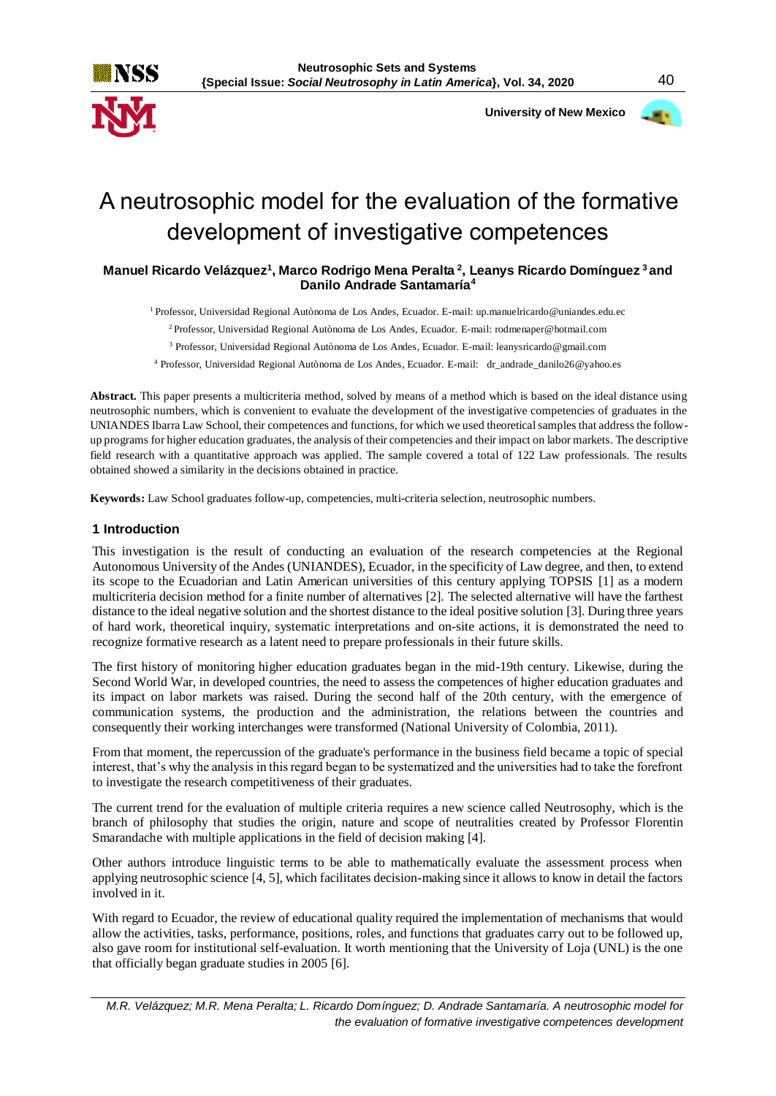

 **University of New Mexico**



# A neutrosophic model for the evaluation of the formative development of investigative competences

## **Manuel Ricardo Velázquez<sup>1</sup> , Marco Rodrigo Mena Peralta <sup>2</sup> , Leanys Ricardo Domínguez <sup>3</sup>and Danilo Andrade Santamaría<sup>4</sup>**

<sup>1</sup> Professor, Universidad Regional Autònoma de Los Andes, Ecuador. E-mail[: up.manuelricardo@uniandes.edu.ec](mailto:up.manuelricardo@uniandes.edu.ec)

<sup>2</sup>Professor, Universidad Regional Autònoma de Los Andes, Ecuador. E-mail: [rodmenaper@hotmail.com](mailto:rodmenaper@hotmail.com)

<sup>3</sup> Professor, Universidad Regional Autònoma de Los Andes, Ecuador. E-mail: leanysricardo@gmail.com

<sup>4</sup> Professor, Universidad Regional Autònoma de Los Andes, Ecuador. E-mail: dr\_andrade\_danilo26@yahoo.es

**Abstract.** This paper presents a multicriteria method, solved by means of a method which is based on the ideal distance using neutrosophic numbers, which is convenient to evaluate the development of the investigative competencies of graduates in the UNIANDES Ibarra Law School, their competences and functions, for which we used theoretical samples that address the followup programs for higher education graduates, the analysis of their competencies and their impact on labor markets. The descriptive field research with a quantitative approach was applied. The sample covered a total of 122 Law professionals. The results obtained showed a similarity in the decisions obtained in practice.

**Keywords:** Law School graduates follow-up, competencies, multi-criteria selection, neutrosophic numbers.

### **1 Introduction**

This investigation is the result of conducting an evaluation of the research competencies at the Regional Autonomous University of the Andes (UNIANDES), Ecuador, in the specificity of Law degree, and then, to extend its scope to the Ecuadorian and Latin American universities of this century applying TOPSIS [1] as a modern multicriteria decision method for a finite number of alternatives [2]. The selected alternative will have the farthest distance to the ideal negative solution and the shortest distance to the ideal positive solution [3]. During three years of hard work, theoretical inquiry, systematic interpretations and on-site actions, it is demonstrated the need to recognize formative research as a latent need to prepare professionals in their future skills.

The first history of monitoring higher education graduates began in the mid-19th century. Likewise, during the Second World War, in developed countries, the need to assess the competences of higher education graduates and its impact on labor markets was raised. During the second half of the 20th century, with the emergence of communication systems, the production and the administration, the relations between the countries and consequently their working interchanges were transformed (National University of Colombia, 2011).

From that moment, the repercussion of the graduate's performance in the business field became a topic of special interest, that's why the analysis in this regard began to be systematized and the universities had to take the forefront to investigate the research competitiveness of their graduates.

The current trend for the evaluation of multiple criteria requires a new science called Neutrosophy, which is the branch of philosophy that studies the origin, nature and scope of neutralities created by Professor Florentin Smarandache with multiple applications in the field of decision making [4].

Other authors introduce linguistic terms to be able to mathematically evaluate the assessment process when applying neutrosophic science [4, 5], which facilitates decision-making since it allows to know in detail the factors involved in it.

With regard to Ecuador, the review of educational quality required the implementation of mechanisms that would allow the activities, tasks, performance, positions, roles, and functions that graduates carry out to be followed up, also gave room for institutional self-evaluation. It worth mentioning that the University of Loja (UNL) is the one that officially began graduate studies in 2005 [6].

*M.R. Velázquez; M.R. Mena Peralta; L. Ricardo Domínguez; D. Andrade Santamaría. A neutrosophic model for the evaluation of formative investigative competences development*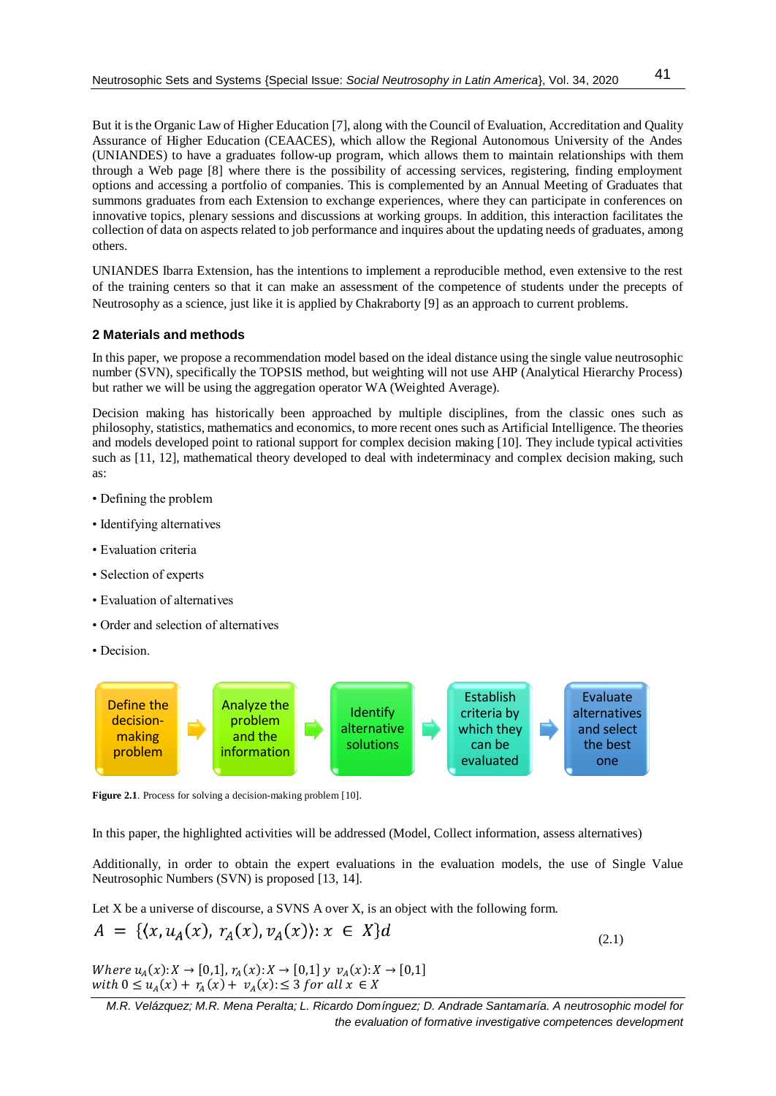But it is the Organic Law of Higher Education [7], along with the Council of Evaluation, Accreditation and Quality Assurance of Higher Education (CEAACES), which allow the Regional Autonomous University of the Andes (UNIANDES) to have a graduates follow-up program, which allows them to maintain relationships with them through a Web page [8] where there is the possibility of accessing services, registering, finding employment options and accessing a portfolio of companies. This is complemented by an Annual Meeting of Graduates that summons graduates from each Extension to exchange experiences, where they can participate in conferences on innovative topics, plenary sessions and discussions at working groups. In addition, this interaction facilitates the collection of data on aspects related to job performance and inquires about the updating needs of graduates, among others.

UNIANDES Ibarra Extension, has the intentions to implement a reproducible method, even extensive to the rest of the training centers so that it can make an assessment of the competence of students under the precepts of Neutrosophy as a science, just like it is applied by Chakraborty [9] as an approach to current problems.

### **2 Materials and methods**

In this paper, we propose a recommendation model based on the ideal distance using the single value neutrosophic number (SVN), specifically the TOPSIS method, but weighting will not use AHP (Analytical Hierarchy Process) but rather we will be using the aggregation operator WA (Weighted Average).

Decision making has historically been approached by multiple disciplines, from the classic ones such as philosophy, statistics, mathematics and economics, to more recent ones such as Artificial Intelligence. The theories and models developed point to rational support for complex decision making [10]. They include typical activities such as [11, 12], mathematical theory developed to deal with indeterminacy and complex decision making, such as:

- Defining the problem
- Identifying alternatives
- Evaluation criteria
- Selection of experts
- Evaluation of alternatives
- Order and selection of alternatives
- Decision.



**Figure 2.1**. Process for solving a decision-making problem [10].

In this paper, the highlighted activities will be addressed (Model, Collect information, assess alternatives)

Additionally, in order to obtain the expert evaluations in the evaluation models, the use of Single Value Neutrosophic Numbers (SVN) is proposed [13, 14].

Let X be a universe of discourse, a SVMS A over X, is an object with the following form.  
\n
$$
A = \{ (x, u_A(x), r_A(x), v_A(x)) : x \in X \} d
$$
\n(2.1)

Where  $u_A(x): X \to [0,1], r_A(x): X \to [0,1]$   $y \, v_A(x): X \to [0,1]$ with  $0 \le u_A(x) + r_A(x) + v_A(x) \le 3$  for all  $x \in X$ 

*M.R. Velázquez; M.R. Mena Peralta; L. Ricardo Domínguez; D. Andrade Santamaría. A neutrosophic model for the evaluation of formative investigative competences development*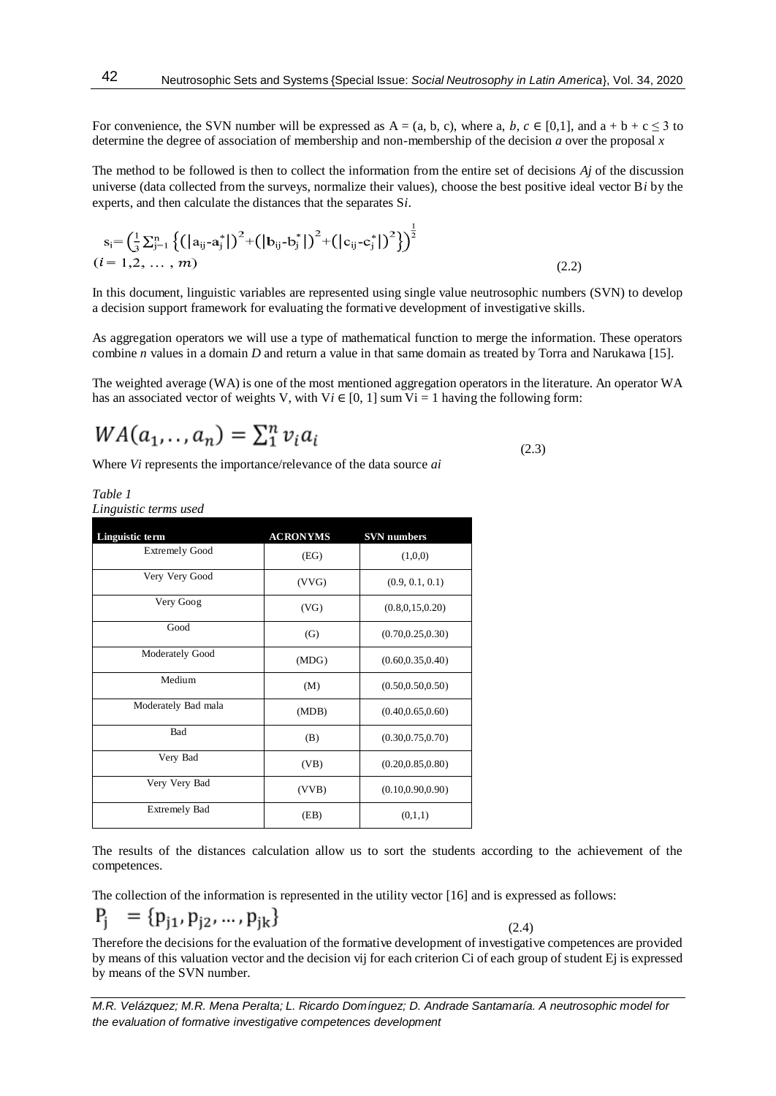For convenience, the SVN number will be expressed as  $A = (a, b, c)$ , where a,  $b, c \in [0,1]$ , and  $a + b + c \le 3$  to determine the degree of association of membership and non-membership of the decision *a* over the proposal *x*

The method to be followed is then to collect the information from the entire set of decisions *Aj* of the discussion universe (data collected from the surveys, normalize their values), choose the best positive ideal vector B*i* by the experts, and then calculate the distances that the separates S*i*.

$$
s_{i} = \left(\frac{1}{3}\sum_{j=1}^{n} \left\{ \left( |a_{ij} - a_{j}^{*}| \right)^{2} + \left( |b_{ij} - b_{j}^{*}| \right)^{2} + \left( |c_{ij} - c_{j}^{*}| \right)^{2} \right\} \right)^{\frac{1}{2}}
$$
\n
$$
(i = 1, 2, ..., m)
$$
\n(2.2)

In this document, linguistic variables are represented using single value neutrosophic numbers (SVN) to develop a decision support framework for evaluating the formative development of investigative skills.

As aggregation operators we will use a type of mathematical function to merge the information. These operators combine *n* values in a domain *D* and return a value in that same domain as treated by Torra and Narukawa [15].

The weighted average (WA) is one of the most mentioned aggregation operators in the literature. An operator WA has an associated vector of weights V, with  $Vi \in [0, 1]$  sum  $Vi = 1$  having the following form:

$$
WA(a_1,..,a_n) = \sum_1^n v_i a_i
$$

Where *Vi* represents the importance/relevance of the data source *ai*

*Table 1 Linguistic terms used*

| Linguistic term       | <b>ACRONYMS</b> | <b>SVN</b> numbers |
|-----------------------|-----------------|--------------------|
| <b>Extremely Good</b> | (EG)            | (1,0,0)            |
| Very Very Good        | (VVG)           | (0.9, 0.1, 0.1)    |
| Very Goog             | (VG)            | (0.8, 0.15, 0.20)  |
| Good                  | (G)             | (0.70, 0.25, 0.30) |
| Moderately Good       | (MDG)           | (0.60, 0.35, 0.40) |
| Medium                | (M)             | (0.50, 0.50, 0.50) |
| Moderately Bad mala   | (MDB)           | (0.40, 0.65, 0.60) |
| Bad                   | (B)             | (0.30, 0.75, 0.70) |
| Very Bad              | (VB)            | (0.20, 0.85, 0.80) |
| Very Very Bad         | (VVB)           | (0.10, 0.90, 0.90) |
| <b>Extremely Bad</b>  | (EB)            | (0,1,1)            |

The results of the distances calculation allow us to sort the students according to the achievement of the competences.

The collection of the information is represented in the utility vector [16] and is expressed as follows:

$$
P_j = \{p_{j1}, p_{j2}, \dots, p_{jk}\}
$$

Therefore the decisions for the evaluation of the formative development of investigative competences are provided by means of this valuation vector and the decision vij for each criterion Ci of each group of student Ej is expressed by means of the SVN number.

 $(2.4)$ 

*M.R. Velázquez; M.R. Mena Peralta; L. Ricardo Domínguez; D. Andrade Santamaría. A neutrosophic model for the evaluation of formative investigative competences development*

(2.3)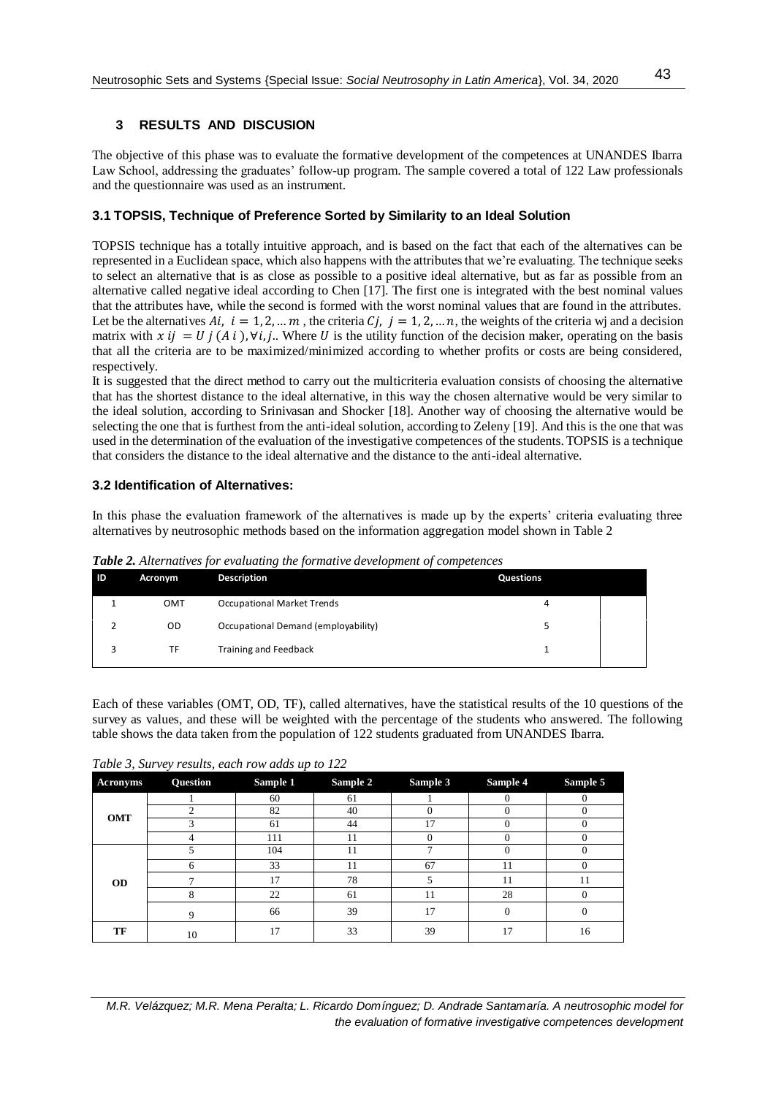# **3 RESULTS AND DISCUSION**

The objective of this phase was to evaluate the formative development of the competences at UNANDES Ibarra Law School, addressing the graduates' follow-up program. The sample covered a total of 122 Law professionals and the questionnaire was used as an instrument.

## **3.1 TOPSIS, Technique of Preference Sorted by Similarity to an Ideal Solution**

TOPSIS technique has a totally intuitive approach, and is based on the fact that each of the alternatives can be represented in a Euclidean space, which also happens with the attributes that we're evaluating. The technique seeks to select an alternative that is as close as possible to a positive ideal alternative, but as far as possible from an alternative called negative ideal according to Chen [17]. The first one is integrated with the best nominal values that the attributes have, while the second is formed with the worst nominal values that are found in the attributes. Let be the alternatives  $Ai, i = 1, 2, ..., m$ , the criteria  $Ci, j = 1, 2, ..., n$ , the weights of the criteria wj and a decision matrix with  $x i j = U j (Ai)$ ,  $\forall i, j$ . Where U is the utility function of the decision maker, operating on the basis that all the criteria are to be maximized/minimized according to whether profits or costs are being considered, respectively.

It is suggested that the direct method to carry out the multicriteria evaluation consists of choosing the alternative that has the shortest distance to the ideal alternative, in this way the chosen alternative would be very similar to the ideal solution, according to Srinivasan and Shocker [18]. Another way of choosing the alternative would be selecting the one that is furthest from the anti-ideal solution, according to Zeleny [19]. And this is the one that was used in the determination of the evaluation of the investigative competences of the students. TOPSIS is a technique that considers the distance to the ideal alternative and the distance to the anti-ideal alternative.

## **3.2 Identification of Alternatives:**

In this phase the evaluation framework of the alternatives is made up by the experts' criteria evaluating three alternatives by neutrosophic methods based on the information aggregation model shown in Table 2

| <b>ID</b> | Acronym    | $\sim$<br><b>Description</b>        | <b>Questions</b> |
|-----------|------------|-------------------------------------|------------------|
|           | <b>OMT</b> | <b>Occupational Market Trends</b>   | 4                |
|           | OD         | Occupational Demand (employability) |                  |
|           | TF         | <b>Training and Feedback</b>        |                  |
|           |            |                                     |                  |

*Table 2. Alternatives for evaluating the formative development of competences*

Each of these variables (OMT, OD, TF), called alternatives, have the statistical results of the 10 questions of the survey as values, and these will be weighted with the percentage of the students who answered. The following table shows the data taken from the population of 122 students graduated from UNANDES Ibarra.

*Table 3, Survey results, each row adds up to 122*

| <b>Acronyms</b> | Question | $\overline{\phantom{a}}$<br>Sample 1 | Sample 2 | Sample 3 | Sample 4 | Sample 5     |
|-----------------|----------|--------------------------------------|----------|----------|----------|--------------|
|                 |          | 60                                   | 61       |          |          | $\Omega$     |
| <b>OMT</b>      |          | 82                                   | 40       |          |          | 0            |
|                 |          | 61                                   | 44       | 17       |          |              |
|                 |          | 111                                  | 11       |          |          |              |
| <b>OD</b>       |          | 104                                  | 11       |          |          |              |
|                 | h.       | 33                                   | 11       | 67       | 11       | $\Omega$     |
|                 |          | 17                                   | 78       | 5        | 11       | 11           |
|                 | 8        | 22                                   | 61       | 11       | 28       | $\Omega$     |
|                 | Q        | 66                                   | 39       | 17       | $\Omega$ | $\mathbf{0}$ |
| TF              | 10       | 17                                   | 33       | 39       | 17       | 16           |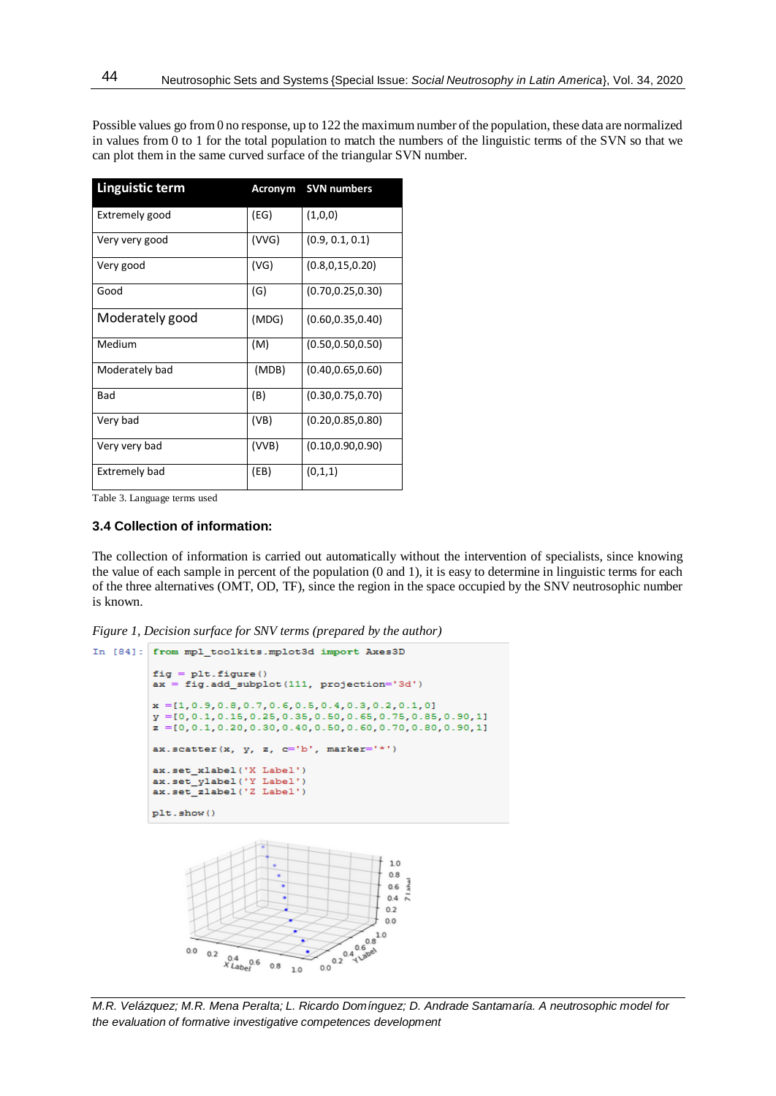| <b>Linguistic term</b> | Acronym | <b>SVN numbers</b> |
|------------------------|---------|--------------------|
| Extremely good         | (EG)    | (1,0,0)            |
| Very very good         | (VVG)   | (0.9, 0.1, 0.1)    |
| Very good              | (VG)    | (0.8, 0.15, 0.20)  |
| Good                   | (G)     | (0.70, 0.25, 0.30) |
| Moderately good        | (MDG)   | (0.60, 0.35, 0.40) |
| Medium                 | (M)     | (0.50, 0.50, 0.50) |
| Moderately bad         | (MDB)   | (0.40, 0.65, 0.60) |
| Bad                    | (B)     | (0.30, 0.75, 0.70) |
| Very bad               | (VB)    | (0.20, 0.85, 0.80) |
| Very very bad          | (VVB)   | (0.10, 0.90, 0.90) |
| Extremely bad          | (EB)    | (0,1,1)            |

Possible values go from 0 no response, up to 122 the maximum number of the population, these data are normalized in values from  $\overline{0}$  to 1 for the total population to match the numbers of the linguistic terms of the SVN so that we can plot them in the same curved surface of the triangular SVN number.

Table 3. Language terms used

### **3.4 Collection of information:**

The collection of information is carried out automatically without the intervention of specialists, since knowing the value of each sample in percent of the population (0 and 1), it is easy to determine in linguistic terms for each of the three alternatives (OMT, OD, TF), since the region in the space occupied by the SNV neutrosophic number is known.

*Figure 1, Decision surface for SNV terms (prepared by the author)*

```
In [84]: from mpl toolkits.mplot3d import Axes3D
fig = plt.figure()<br>ax = fig.add_subplot(111, projection='3d')
 x = [1, 0.9, 0.8, 0.7, 0.6, 0.5, 0.4, 0.3, 0.2, 0.1, 0]y = 0, 0.1, 0.15, 0.25, 0.35, 0.50, 0.65, 0.75, 0.85, 0.90, 11z = [0, 0.1, 0.20, 0.30, 0.40, 0.50, 0.60, 0.70, 0.80, 0.90, 1]ax.scatter(x, y, z, c='b', marker='*')
 ax.set_xlabel('X Label')
ax.set_ylabel('Y_Label')<br>ax.set_zlabel('Z_Label')
 plt.show()
                                                 1.00.8ahal
                                                0.60.4\bar{N}0.20.00.0204 Label
                                              1.00.00.2x^{0.4}_{Label} 0.6 0.8
                             1.0
```
*M.R. Velázquez; M.R. Mena Peralta; L. Ricardo Domínguez; D. Andrade Santamaría. A neutrosophic model for the evaluation of formative investigative competences development*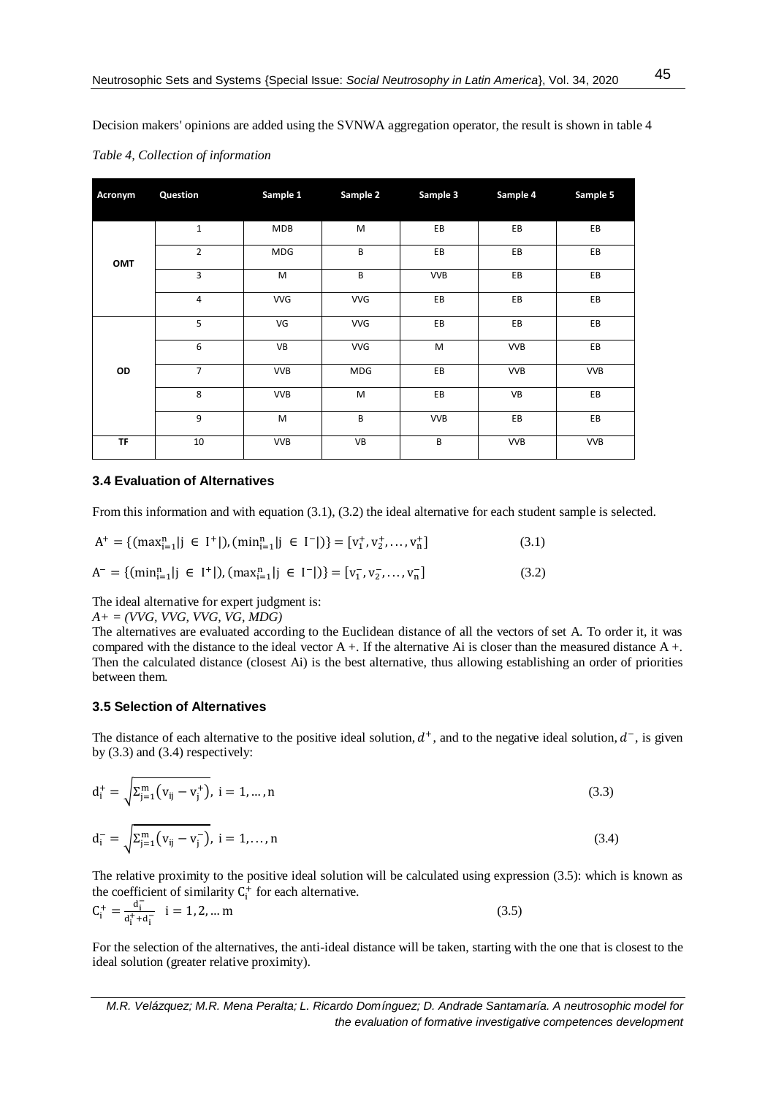Decision makers' opinions are added using the SVNWA aggregation operator, the result is shown in table 4

| Acronym   | Question       | Sample 1   | Sample 2   | Sample 3   | Sample 4   | Sample 5   |
|-----------|----------------|------------|------------|------------|------------|------------|
| OMT       | $\mathbf{1}$   | <b>MDB</b> | M          | EB         | EB         | EB         |
|           | $\overline{2}$ | MDG        | B          | EB         | EB         | EB         |
|           | 3              | M          | B          | <b>VVB</b> | EB         | EB         |
|           | 4              | <b>VVG</b> | <b>VVG</b> | EB         | EB         | EB         |
| OD        | 5              | VG         | <b>VVG</b> | EB         | EB         | EB         |
|           | 6              | VB         | <b>VVG</b> | M          | <b>VVB</b> | EB         |
|           | $\overline{7}$ | <b>VVB</b> | MDG        | EB         | <b>VVB</b> | <b>VVB</b> |
|           | 8              | <b>VVB</b> | M          | EB         | VB         | EB         |
|           | 9              | M          | B          | <b>VVB</b> | EB         | EB         |
| <b>TF</b> | 10             | <b>VVB</b> | VB         | B          | <b>VVB</b> | <b>VVB</b> |

*Table 4, Collection of information*

## **3.4 Evaluation of Alternatives**

From this information and with equation (3.1), (3.2) the ideal alternative for each student sample is selected.

$$
A^{+} = \{(\max_{i=1}^{n} | j \in I^{+} |), (\min_{i=1}^{n} | j \in I^{-} |)\} = [v_{1}^{+}, v_{2}^{+}, ..., v_{n}^{+}]
$$
\n
$$
A^{-} = \{(\min_{i=1}^{n} | j \in I^{+} |), (\max_{i=1}^{n} | j \in I^{-} |)\} = [v_{1}^{-}, v_{2}^{-}, ..., v_{n}^{-}]
$$
\n(3.2)

The ideal alternative for expert judgment is:

*A+ = (VVG, VVG, VVG, VG, MDG)*

The alternatives are evaluated according to the Euclidean distance of all the vectors of set A. To order it, it was compared with the distance to the ideal vector A +. If the alternative Ai is closer than the measured distance A +. Then the calculated distance (closest Ai) is the best alternative, thus allowing establishing an order of priorities between them.

## **3.5 Selection of Alternatives**

The distance of each alternative to the positive ideal solution,  $d^+$ , and to the negative ideal solution,  $d^-$ , is given by  $(3.3)$  and  $(3.4)$  respectively:

$$
d_i^+ = \sqrt{\Sigma_{j=1}^m (v_{ij} - v_j^+)} \quad i = 1, \dots, n
$$
\n(3.3)

$$
d_i^- = \sqrt{\Sigma_{j=1}^m (v_{ij} - v_j^-)}, \ i = 1, ..., n
$$
\n(3.4)

The relative proximity to the positive ideal solution will be calculated using expression (3.5): which is known as the coefficient of similarity  $C_i^+$  for each alternative.

$$
C_i^+ = \frac{d_i^-}{d_i^+ + d_i^-} \quad i = 1, 2, \dots m \tag{3.5}
$$

For the selection of the alternatives, the anti-ideal distance will be taken, starting with the one that is closest to the ideal solution (greater relative proximity).

*M.R. Velázquez; M.R. Mena Peralta; L. Ricardo Domínguez; D. Andrade Santamaría. A neutrosophic model for the evaluation of formative investigative competences development*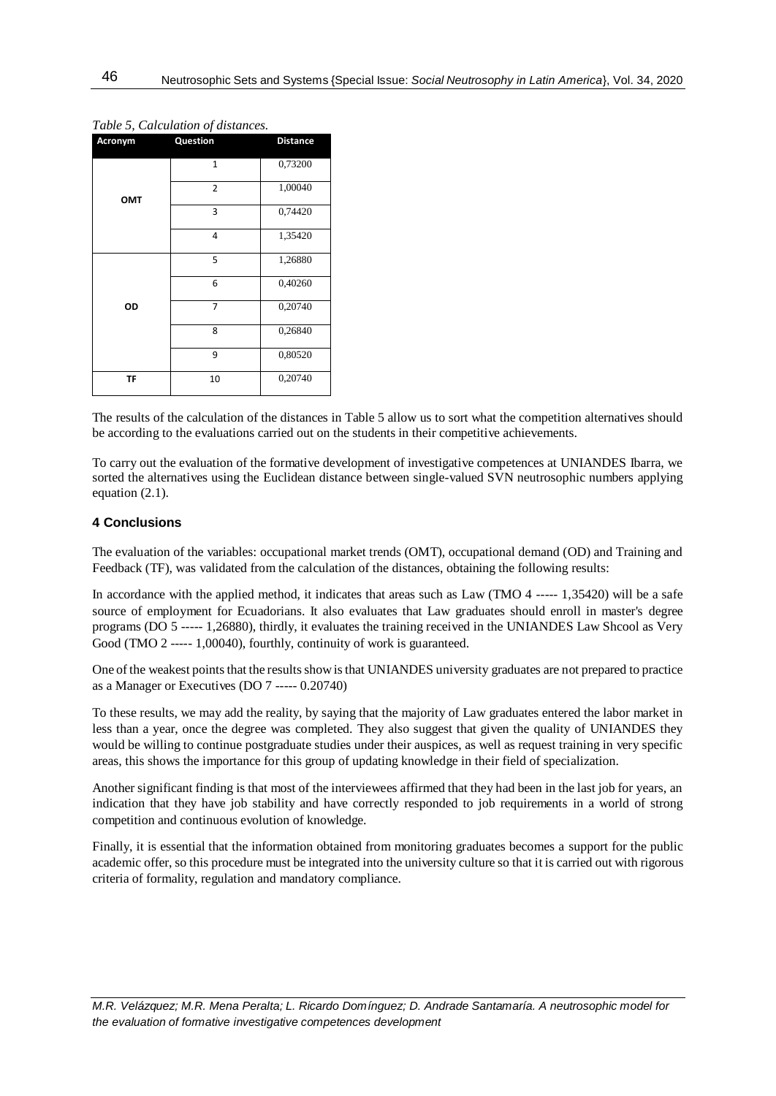| Acronym    | Question       | <b>Distance</b> |
|------------|----------------|-----------------|
|            | $\mathbf{1}$   | 0,73200         |
| <b>OMT</b> | $\overline{2}$ | 1,00040         |
|            | 3              | 0,74420         |
|            | 4              | 1,35420         |
|            | 5              | 1,26880         |
|            | 6              | 0,40260         |
| OD         | 7              | 0,20740         |
|            | 8              | 0,26840         |
|            | 9              | 0,80520         |
| TF         | 10             | 0,20740         |

*Table 5, Calculation of distances.*

The results of the calculation of the distances in Table 5 allow us to sort what the competition alternatives should be according to the evaluations carried out on the students in their competitive achievements.

To carry out the evaluation of the formative development of investigative competences at UNIANDES Ibarra, we sorted the alternatives using the Euclidean distance between single-valued SVN neutrosophic numbers applying equation (2.1).

### **4 Conclusions**

The evaluation of the variables: occupational market trends (OMT), occupational demand (OD) and Training and Feedback (TF), was validated from the calculation of the distances, obtaining the following results:

In accordance with the applied method, it indicates that areas such as Law (TMO 4 ----- 1,35420) will be a safe source of employment for Ecuadorians. It also evaluates that Law graduates should enroll in master's degree programs (DO 5 ----- 1,26880), thirdly, it evaluates the training received in the UNIANDES Law Shcool as Very Good (TMO 2 ----- 1,00040), fourthly, continuity of work is guaranteed.

One of the weakest points that the results show is that UNIANDES university graduates are not prepared to practice as a Manager or Executives (DO 7 ----- 0.20740)

To these results, we may add the reality, by saying that the majority of Law graduates entered the labor market in less than a year, once the degree was completed. They also suggest that given the quality of UNIANDES they would be willing to continue postgraduate studies under their auspices, as well as request training in very specific areas, this shows the importance for this group of updating knowledge in their field of specialization.

Another significant finding is that most of the interviewees affirmed that they had been in the last job for years, an indication that they have job stability and have correctly responded to job requirements in a world of strong competition and continuous evolution of knowledge.

Finally, it is essential that the information obtained from monitoring graduates becomes a support for the public academic offer, so this procedure must be integrated into the university culture so that it is carried out with rigorous criteria of formality, regulation and mandatory compliance.